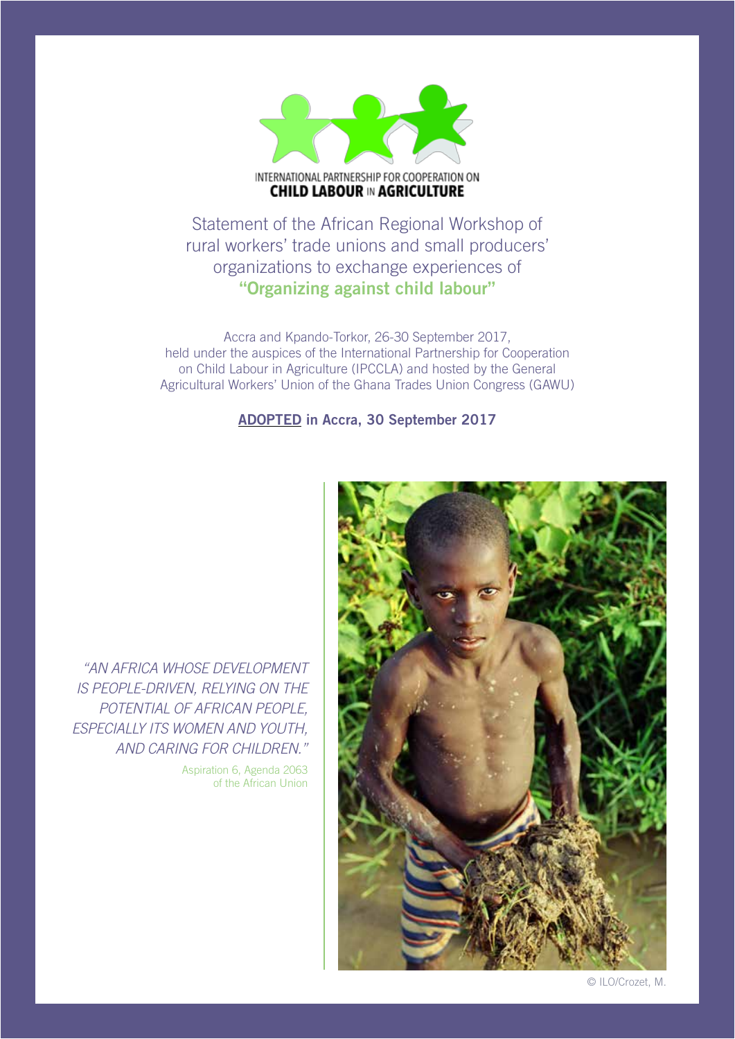

Statement of the African Regional Workshop of rural workers' trade unions and small producers' organizations to exchange experiences of **"Organizing against child labour"**

Accra and Kpando-Torkor, 26-30 September 2017, held under the auspices of the International Partnership for Cooperation on Child Labour in Agriculture (IPCCLA) and hosted by the General Agricultural Workers' Union of the Ghana Trades Union Congress (GAWU)

## ADOPTED in Accra, 30 September 2017



*"AN AFRICA WHOSE DEVELOPMENT IS PEOPLE-DRIVEN, RELYING ON THE POTENTIAL OF AFRICAN PEOPLE, ESPECIALLY ITS WOMEN AND YOUTH, AND CARING FOR CHILDREN."*

> Aspiration 6, Agenda 2063 of the African Union

> > © ILO/Crozet, M.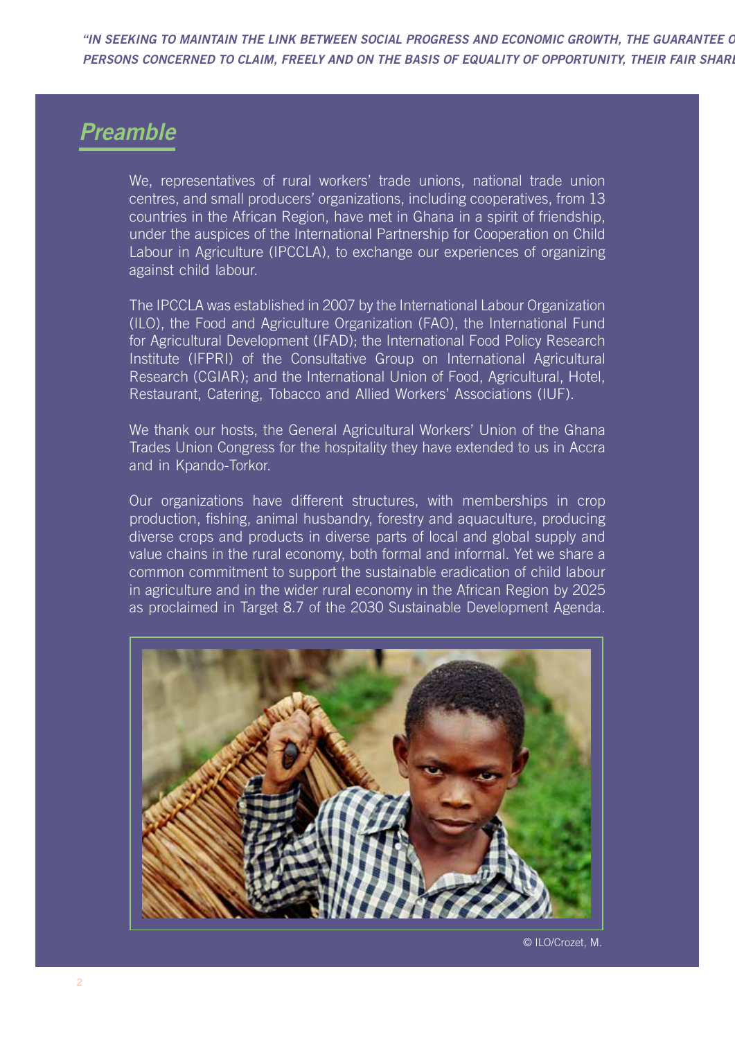"IN SEEKING TO MAINTAIN THE LINK BETWEEN SOCIAL PROGRESS AND ECONOMIC GROWTH, THE GUARANTEE O PERSONS CONCERNED TO CLAIM, FREELY AND ON THE BASIS OF EQUALITY OF OPPORTUNITY, THEIR FAIR SHARI

## *Preamble*

We, representatives of rural workers' trade unions, national trade union centres, and small producers' organizations, including cooperatives, from 13 countries in the African Region, have met in Ghana in a spirit of friendship, under the auspices of the International Partnership for Cooperation on Child Labour in Agriculture (IPCCLA), to exchange our experiences of organizing against child labour.

The IPCCLA was established in 2007 by the International Labour Organization (ILO), the Food and Agriculture Organization (FAO), the International Fund for Agricultural Development (IFAD); the International Food Policy Research Institute (IFPRI) of the Consultative Group on International Agricultural Research (CGIAR); and the International Union of Food, Agricultural, Hotel, Restaurant, Catering, Tobacco and Allied Workers' Associations (IUF).

We thank our hosts, the General Agricultural Workers' Union of the Ghana Trades Union Congress for the hospitality they have extended to us in Accra and in Kpando-Torkor.

Our organizations have different structures, with memberships in crop production, fishing, animal husbandry, forestry and aquaculture, producing diverse crops and products in diverse parts of local and global supply and value chains in the rural economy, both formal and informal. Yet we share a common commitment to support the sustainable eradication of child labour in agriculture and in the wider rural economy in the African Region by 2025 as proclaimed in Target 8.7 of the 2030 Sustainable Development Agenda.



© ILO/Crozet, M.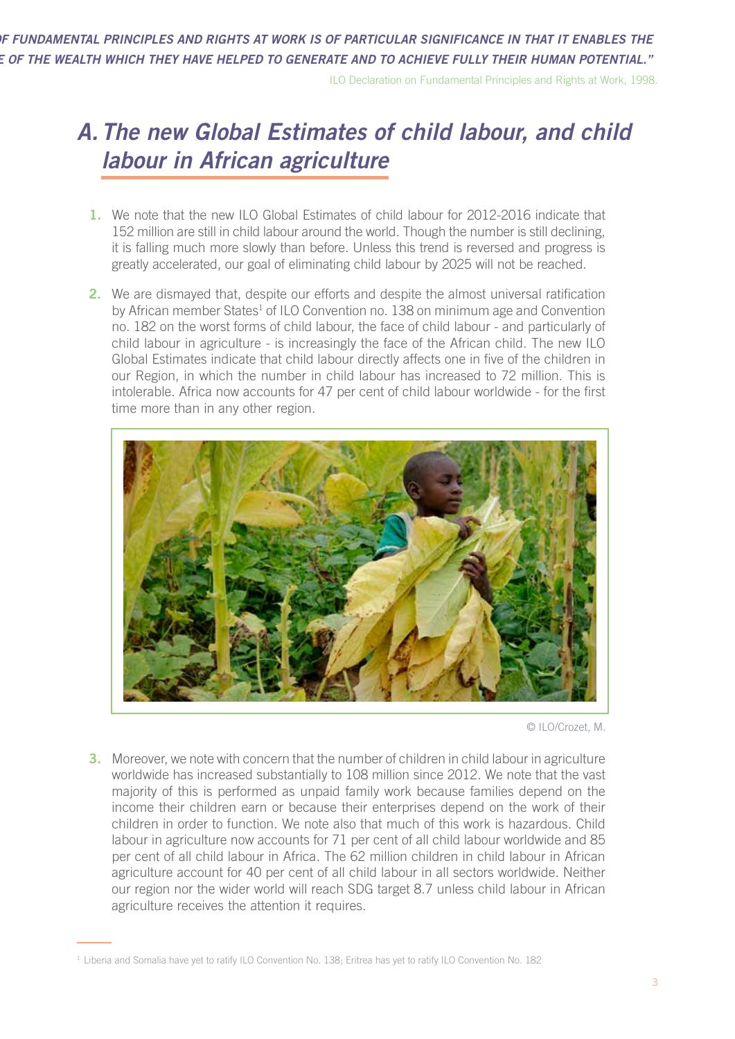*"IN SEEKING TO MAINTAIN THE LINK BETWEEN SOCIAL PROGRESS AND ECONOMIC GROWTH, THE GUARANTEE OF FUNDAMENTAL PRINCIPLES AND RIGHTS AT WORK IS OF PARTICULAR SIGNIFICANCE IN THAT IT ENABLES THE PERSONS CONCERNED TO CLAIM, FREELY AND ON THE BASIS OF EQUALITY OF OPPORTUNITY, THEIR FAIR SHARE OF THE WEALTH WHICH THEY HAVE HELPED TO GENERATE AND TO ACHIEVE FULLY THEIR HUMAN POTENTIAL."*

ILO Declaration on Fundamental Principles and Rights at Work, 1998.

## *A.The new Global Estimates of child labour, and child labour in African agriculture*

- **1.** We note that the new ILO Global Estimates of child labour for 2012-2016 indicate that 152 million are still in child labour around the world. Though the number is still declining, it is falling much more slowly than before. Unless this trend is reversed and progress is greatly accelerated, our goal of eliminating child labour by 2025 will not be reached.
- **2.** We are dismayed that, despite our efforts and despite the almost universal ratification by African member States<sup>1</sup> of ILO Convention no. 138 on minimum age and Convention no. 182 on the worst forms of child labour, the face of child labour - and particularly of child labour in agriculture - is increasingly the face of the African child. The new ILO Global Estimates indicate that child labour directly affects one in five of the children in our Region, in which the number in child labour has increased to 72 million. This is intolerable. Africa now accounts for 47 per cent of child labour worldwide - for the first time more than in any other region.



© ILO/Crozet, M.

**3.** Moreover, we note with concern that the number of children in child labour in agriculture worldwide has increased substantially to 108 million since 2012. We note that the vast majority of this is performed as unpaid family work because families depend on the income their children earn or because their enterprises depend on the work of their children in order to function. We note also that much of this work is hazardous. Child labour in agriculture now accounts for 71 per cent of all child labour worldwide and 85 per cent of all child labour in Africa. The 62 million children in child labour in African agriculture account for 40 per cent of all child labour in all sectors worldwide. Neither our region nor the wider world will reach SDG target 8.7 unless child labour in African agriculture receives the attention it requires.

<sup>&</sup>lt;sup>1</sup> Liberia and Somalia have yet to ratify ILO Convention No. 138; Eritrea has yet to ratify ILO Convention No. 182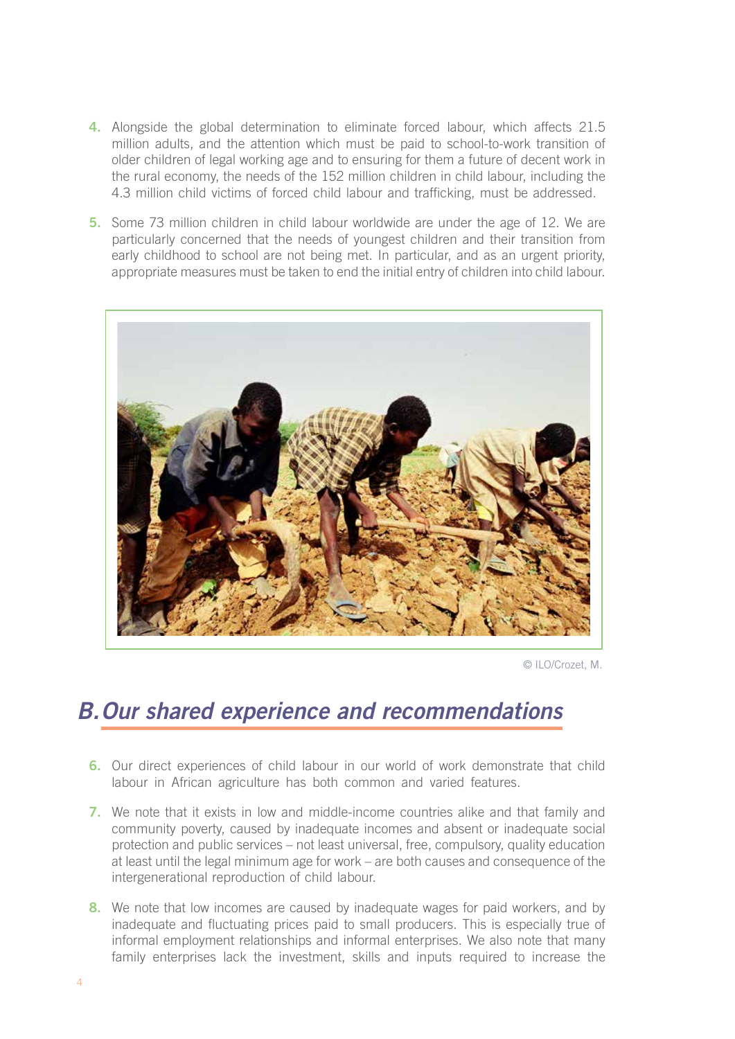- **4.** Alongside the global determination to eliminate forced labour, which affects 21.5 million adults, and the attention which must be paid to school-to-work transition of older children of legal working age and to ensuring for them a future of decent work in the rural economy, the needs of the 152 million children in child labour, including the 4.3 million child victims of forced child labour and trafficking, must be addressed.
- **5.** Some 73 million children in child labour worldwide are under the age of 12. We are particularly concerned that the needs of youngest children and their transition from early childhood to school are not being met. In particular, and as an urgent priority, appropriate measures must be taken to end the initial entry of children into child labour.



© ILO/Crozet, M.

## *B.Our shared experience and recommendations*

- **6.** Our direct experiences of child labour in our world of work demonstrate that child labour in African agriculture has both common and varied features.
- **7.** We note that it exists in low and middle-income countries alike and that family and community poverty, caused by inadequate incomes and absent or inadequate social protection and public services – not least universal, free, compulsory, quality education at least until the legal minimum age for work – are both causes and consequence of the intergenerational reproduction of child labour.
- **8.** We note that low incomes are caused by inadequate wages for paid workers, and by inadequate and fluctuating prices paid to small producers. This is especially true of informal employment relationships and informal enterprises. We also note that many family enterprises lack the investment, skills and inputs required to increase the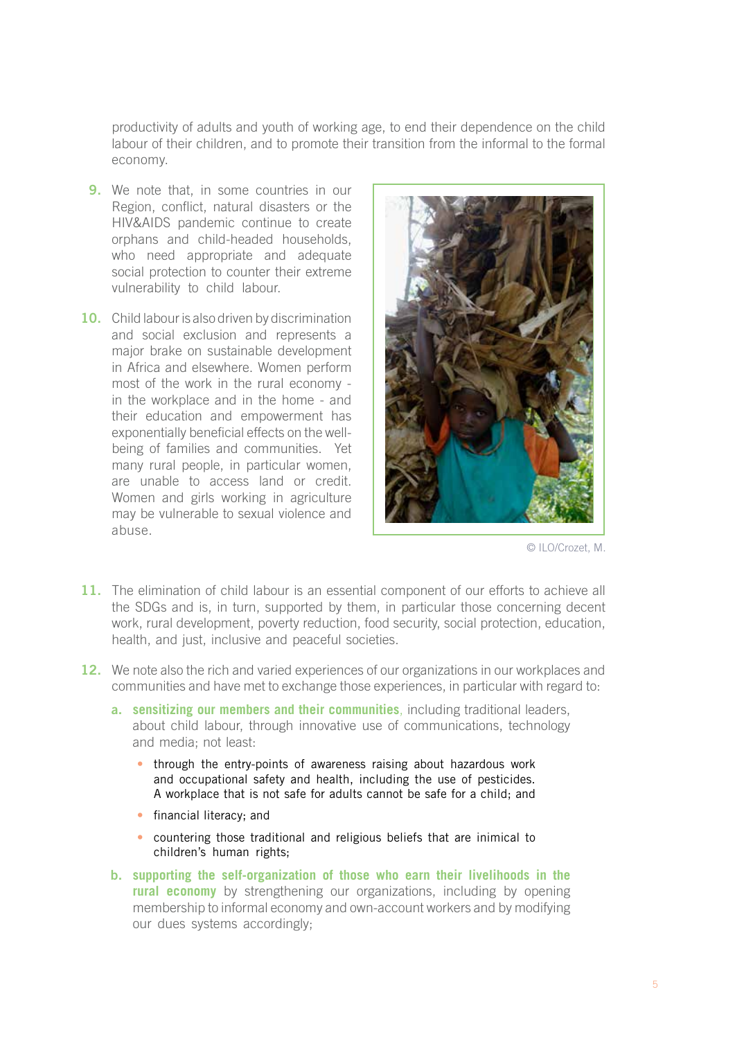productivity of adults and youth of working age, to end their dependence on the child labour of their children, and to promote their transition from the informal to the formal economy.

- **9.** We note that, in some countries in our Region, conflict, natural disasters or the HIV&AIDS pandemic continue to create orphans and child-headed households, who need appropriate and adequate social protection to counter their extreme vulnerability to child labour.
- **10.** Child labour is also driven by discrimination and social exclusion and represents a major brake on sustainable development in Africa and elsewhere. Women perform most of the work in the rural economy in the workplace and in the home - and their education and empowerment has exponentially beneficial effects on the wellbeing of families and communities. Yet many rural people, in particular women, are unable to access land or credit. Women and girls working in agriculture may be vulnerable to sexual violence and abuse.



© ILO/Crozet, M.

- **11.** The elimination of child labour is an essential component of our efforts to achieve all the SDGs and is, in turn, supported by them, in particular those concerning decent work, rural development, poverty reduction, food security, social protection, education, health, and just, inclusive and peaceful societies.
- **12.** We note also the rich and varied experiences of our organizations in our workplaces and communities and have met to exchange those experiences, in particular with regard to:
	- **a. sensitizing our members and their communities**, including traditional leaders, about child labour, through innovative use of communications, technology and media; not least:
		- **•** through the entry-points of awareness raising about hazardous work and occupational safety and health, including the use of pesticides. A workplace that is not safe for adults cannot be safe for a child; and
		- **•** financial literacy; and
		- **•** countering those traditional and religious beliefs that are inimical to children's human rights;
	- **b. supporting the self-organization of those who earn their livelihoods in the rural economy** by strengthening our organizations, including by opening membership to informal economy and own-account workers and by modifying our dues systems accordingly;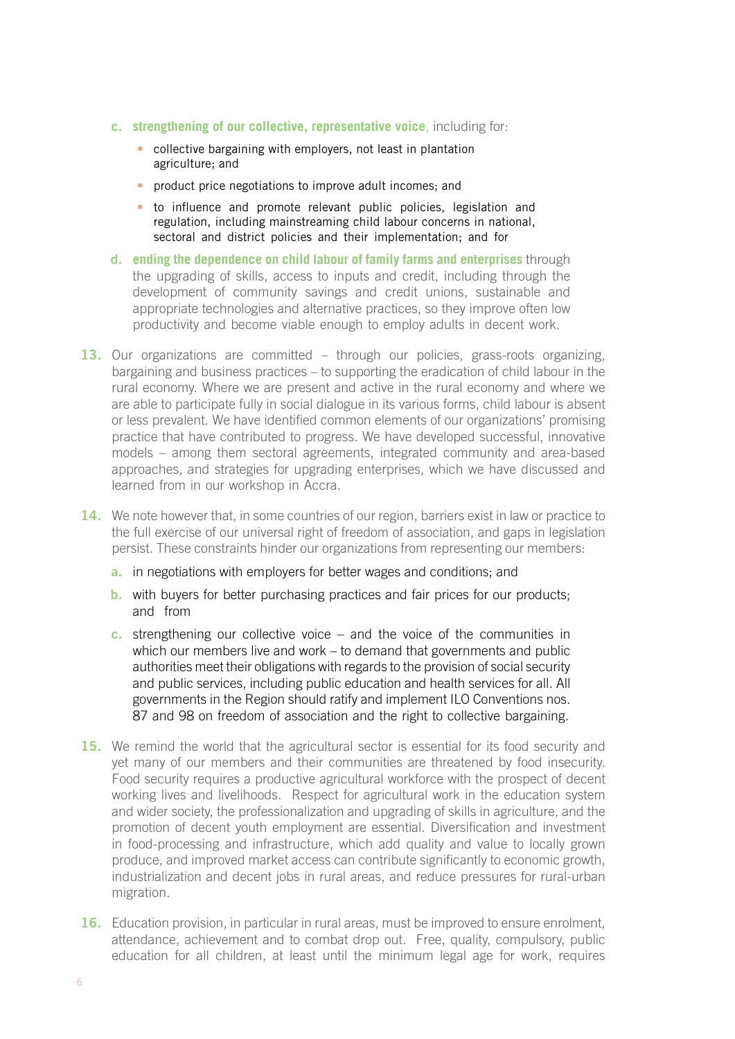- **c. strengthening of our collective, representative voice**, including for:
	- **•** collective bargaining with employers, not least in plantation agriculture; and
	- **•** product price negotiations to improve adult incomes; and
	- **•** to influence and promote relevant public policies, legislation and regulation, including mainstreaming child labour concerns in national, sectoral and district policies and their implementation; and for
- **d. ending the dependence on child labour of family farms and enterprises** through the upgrading of skills, access to inputs and credit, including through the development of community savings and credit unions, sustainable and appropriate technologies and alternative practices, so they improve often low productivity and become viable enough to employ adults in decent work.
- 13. Our organizations are committed through our policies, grass-roots organizing, bargaining and business practices – to supporting the eradication of child labour in the rural economy. Where we are present and active in the rural economy and where we are able to participate fully in social dialogue in its various forms, child labour is absent or less prevalent. We have identified common elements of our organizations' promising practice that have contributed to progress. We have developed successful, innovative models – among them sectoral agreements, integrated community and area-based approaches, and strategies for upgrading enterprises, which we have discussed and learned from in our workshop in Accra.
- **14.** We note however that, in some countries of our region, barriers exist in law or practice to the full exercise of our universal right of freedom of association, and gaps in legislation persist. These constraints hinder our organizations from representing our members:
	- a. in negotiations with employers for better wages and conditions; and
	- **b.** with buyers for better purchasing practices and fair prices for our products; and from
	- c. strengthening our collective voice and the voice of the communities in which our members live and work – to demand that governments and public authorities meet their obligations with regards to the provision of social security and public services, including public education and health services for all. All governments in the Region should ratify and implement ILO Conventions nos. 87 and 98 on freedom of association and the right to collective bargaining.
- **15.** We remind the world that the agricultural sector is essential for its food security and yet many of our members and their communities are threatened by food insecurity. Food security requires a productive agricultural workforce with the prospect of decent working lives and livelihoods. Respect for agricultural work in the education system and wider society, the professionalization and upgrading of skills in agriculture, and the promotion of decent youth employment are essential. Diversification and investment in food-processing and infrastructure, which add quality and value to locally grown produce, and improved market access can contribute significantly to economic growth, industrialization and decent jobs in rural areas, and reduce pressures for rural-urban migration.
- **16.** Education provision, in particular in rural areas, must be improved to ensure enrolment, attendance, achievement and to combat drop out. Free, quality, compulsory, public education for all children, at least until the minimum legal age for work, requires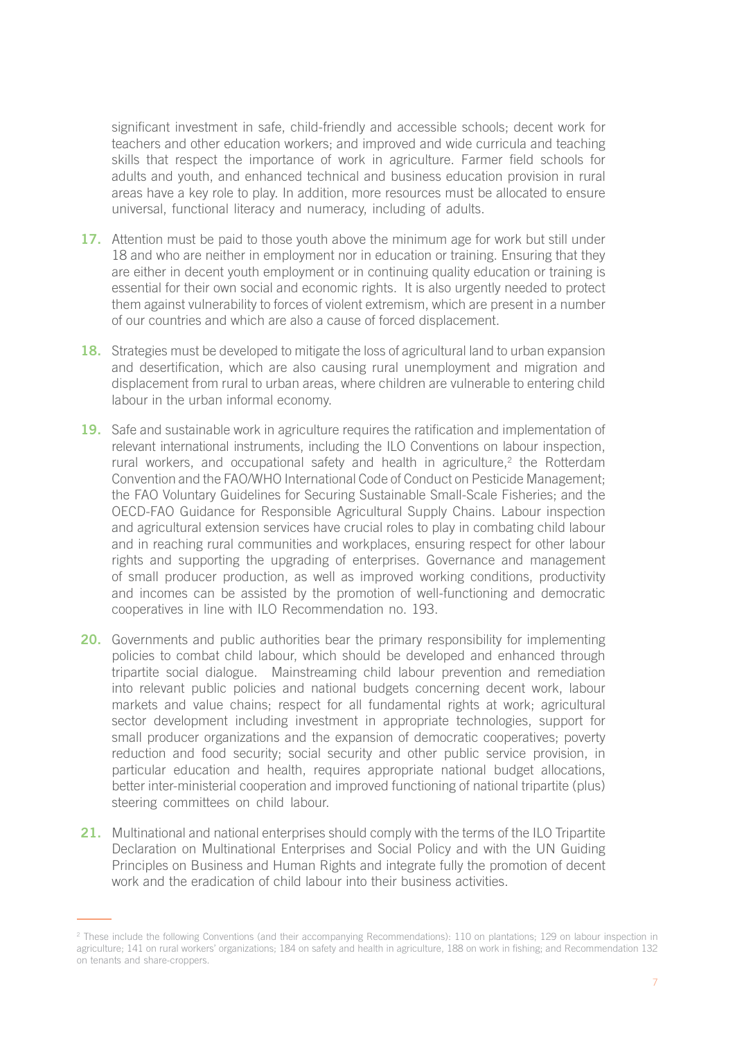significant investment in safe, child-friendly and accessible schools; decent work for teachers and other education workers; and improved and wide curricula and teaching skills that respect the importance of work in agriculture. Farmer field schools for adults and youth, and enhanced technical and business education provision in rural areas have a key role to play. In addition, more resources must be allocated to ensure universal, functional literacy and numeracy, including of adults.

- **17.** Attention must be paid to those youth above the minimum age for work but still under 18 and who are neither in employment nor in education or training. Ensuring that they are either in decent youth employment or in continuing quality education or training is essential for their own social and economic rights. It is also urgently needed to protect them against vulnerability to forces of violent extremism, which are present in a number of our countries and which are also a cause of forced displacement.
- **18.** Strategies must be developed to mitigate the loss of agricultural land to urban expansion and desertification, which are also causing rural unemployment and migration and displacement from rural to urban areas, where children are vulnerable to entering child labour in the urban informal economy.
- **19.** Safe and sustainable work in agriculture requires the ratification and implementation of relevant international instruments, including the ILO Conventions on labour inspection, rural workers, and occupational safety and health in agriculture,<sup>2</sup> the Rotterdam Convention and the FAO/WHO International Code of Conduct on Pesticide Management; the FAO Voluntary Guidelines for Securing Sustainable Small-Scale Fisheries; and the OECD-FAO Guidance for Responsible Agricultural Supply Chains. Labour inspection and agricultural extension services have crucial roles to play in combating child labour and in reaching rural communities and workplaces, ensuring respect for other labour rights and supporting the upgrading of enterprises. Governance and management of small producer production, as well as improved working conditions, productivity and incomes can be assisted by the promotion of well-functioning and democratic cooperatives in line with ILO Recommendation no. 193.
- **20.** Governments and public authorities bear the primary responsibility for implementing policies to combat child labour, which should be developed and enhanced through tripartite social dialogue. Mainstreaming child labour prevention and remediation into relevant public policies and national budgets concerning decent work, labour markets and value chains; respect for all fundamental rights at work; agricultural sector development including investment in appropriate technologies, support for small producer organizations and the expansion of democratic cooperatives; poverty reduction and food security; social security and other public service provision, in particular education and health, requires appropriate national budget allocations, better inter-ministerial cooperation and improved functioning of national tripartite (plus) steering committees on child labour.
- **21.** Multinational and national enterprises should comply with the terms of the ILO Tripartite Declaration on Multinational Enterprises and Social Policy and with the UN Guiding Principles on Business and Human Rights and integrate fully the promotion of decent work and the eradication of child labour into their business activities.

<sup>&</sup>lt;sup>2</sup> These include the following Conventions (and their accompanying Recommendations): 110 on plantations; 129 on labour inspection in agriculture; 141 on rural workers' organizations; 184 on safety and health in agriculture, 188 on work in fishing; and Recommendation 132 on tenants and share-croppers.